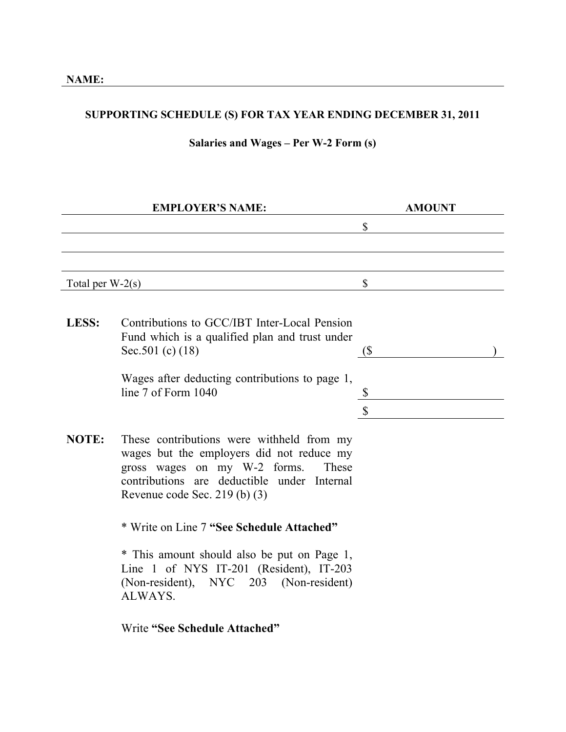## **SUPPORTING SCHEDULE (S) FOR TAX YEAR ENDING DECEMBER 31, 2011**

## **Salaries and Wages – Per W-2 Form (s)**

|                    | <b>EMPLOYER'S NAME:</b>                                                                                                                                                                                         | <b>AMOUNT</b>                |  |
|--------------------|-----------------------------------------------------------------------------------------------------------------------------------------------------------------------------------------------------------------|------------------------------|--|
|                    |                                                                                                                                                                                                                 | \$                           |  |
|                    |                                                                                                                                                                                                                 |                              |  |
|                    |                                                                                                                                                                                                                 |                              |  |
| Total per $W-2(s)$ |                                                                                                                                                                                                                 | \$                           |  |
|                    |                                                                                                                                                                                                                 |                              |  |
| LESS:              | Contributions to GCC/IBT Inter-Local Pension<br>Fund which is a qualified plan and trust under<br>Sec. 501 (c) $(18)$                                                                                           | $\left( \mathsf{\$} \right)$ |  |
|                    | Wages after deducting contributions to page 1,<br>line 7 of Form 1040                                                                                                                                           | \$<br>\$                     |  |
| <b>NOTE:</b>       | These contributions were withheld from my<br>wages but the employers did not reduce my<br>gross wages on my W-2 forms.<br>These<br>contributions are deductible under Internal<br>Revenue code Sec. 219 (b) (3) |                              |  |
|                    | * Write on Line 7 "See Schedule Attached"                                                                                                                                                                       |                              |  |
|                    | * This amount should also be put on Page 1,<br>Line 1 of NYS IT-201 (Resident), IT-203<br>(Non-resident), NYC 203 (Non-resident)<br>ALWAYS.                                                                     |                              |  |
|                    | Write "See Schedule Attached"                                                                                                                                                                                   |                              |  |